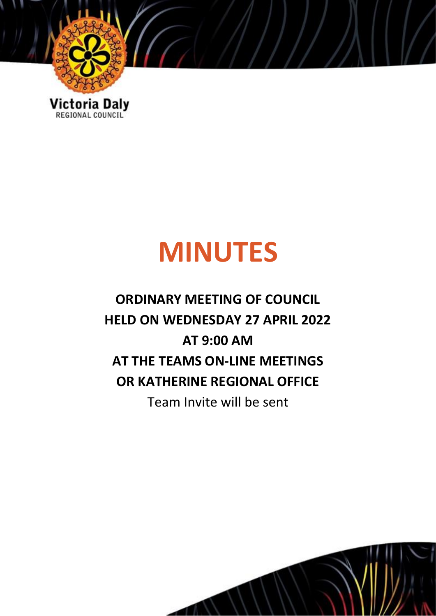

# **MINUTES**

## **ORDINARY MEETING OF COUNCIL HELD ON WEDNESDAY 27 APRIL 2022 AT 9:00 AM AT THE TEAMS ON-LINE MEETINGS OR KATHERINE REGIONAL OFFICE** Team Invite will be sent

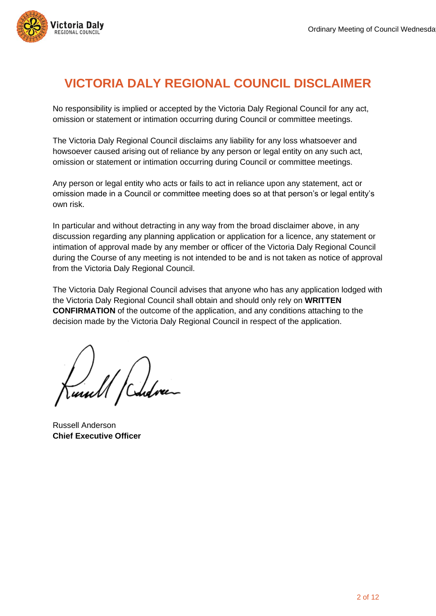

## **VICTORIA DALY REGIONAL COUNCIL DISCLAIMER**

No responsibility is implied or accepted by the Victoria Daly Regional Council for any act, omission or statement or intimation occurring during Council or committee meetings.

The Victoria Daly Regional Council disclaims any liability for any loss whatsoever and howsoever caused arising out of reliance by any person or legal entity on any such act, omission or statement or intimation occurring during Council or committee meetings.

Any person or legal entity who acts or fails to act in reliance upon any statement, act or omission made in a Council or committee meeting does so at that person's or legal entity's own risk.

In particular and without detracting in any way from the broad disclaimer above, in any discussion regarding any planning application or application for a licence, any statement or intimation of approval made by any member or officer of the Victoria Daly Regional Council during the Course of any meeting is not intended to be and is not taken as notice of approval from the Victoria Daly Regional Council.

The Victoria Daly Regional Council advises that anyone who has any application lodged with the Victoria Daly Regional Council shall obtain and should only rely on **WRITTEN CONFIRMATION** of the outcome of the application, and any conditions attaching to the decision made by the Victoria Daly Regional Council in respect of the application.

U /Cudve

Russell Anderson **Chief Executive Officer**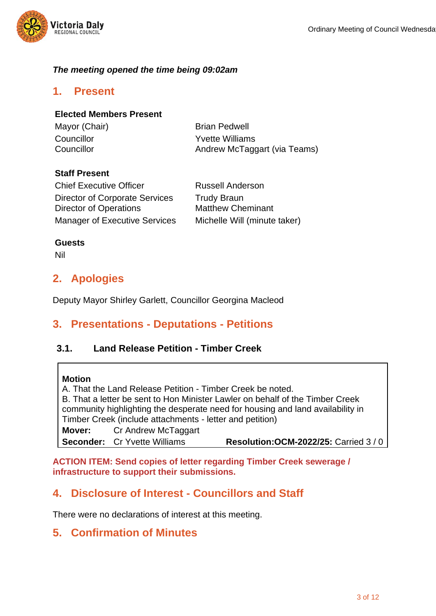

## *The meeting opened the time being 09:02am*

## **1. Present**

### **Elected Members Present**

| Mayor (Chair) | <b>Brian Pedwell</b>         |
|---------------|------------------------------|
| Councillor    | <b>Yvette Williams</b>       |
| Councillor    | Andrew McTaggart (via Teams) |

### **Staff Present**

| <b>Chief Executive Officer</b>        | <b>Russell Anderson</b>      |
|---------------------------------------|------------------------------|
| <b>Director of Corporate Services</b> | <b>Trudy Braun</b>           |
| Director of Operations                | <b>Matthew Cheminant</b>     |
| <b>Manager of Executive Services</b>  | Michelle Will (minute taker) |

#### **Guests**

Nil

## **2. Apologies**

Deputy Mayor Shirley Garlett, Councillor Georgina Macleod

## **3. Presentations - Deputations - Petitions**

## **3.1. Land Release Petition - Timber Creek**

#### **Motion**

A. That the Land Release Petition - Timber Creek be noted. B. That a letter be sent to Hon Minister Lawler on behalf of the Timber Creek community highlighting the desperate need for housing and land availability in Timber Creek (include attachments - letter and petition) **Mover:** Cr Andrew McTaggart **Seconder:** Cr Yvette Williams **Resolution:OCM-2022/25:** Carried 3 / 0

**ACTION ITEM: Send copies of letter regarding Timber Creek sewerage / infrastructure to support their submissions.**

## **4. Disclosure of Interest - Councillors and Staff**

There were no declarations of interest at this meeting.

## **5. Confirmation of Minutes**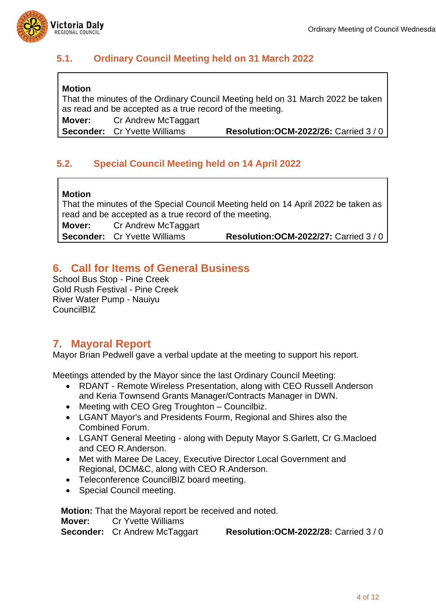

## **5.1. Ordinary Council Meeting held on 31 March 2022**

## **Motion**

That the minutes of the Ordinary Council Meeting held on 31 March 2022 be taken as read and be accepted as a true record of the meeting.

**Mover:** Cr Andrew McTaggart

**Seconder:** Cr Yvette Williams **Resolution:OCM-2022/26:** Carried 3 / 0

## **5.2. Special Council Meeting held on 14 April 2022**

#### **Motion**

That the minutes of the Special Council Meeting held on 14 April 2022 be taken as read and be accepted as a true record of the meeting. **Mover:** Cr Andrew McTaggart **Seconder:** Cr Yvette Williams **Resolution:OCM-2022/27:** Carried 3 / 0

## **6. Call for Items of General Business**

School Bus Stop - Pine Creek Gold Rush Festival - Pine Creek River Water Pump - Nauiyu CouncilBIZ

## **7. Mayoral Report**

Mayor Brian Pedwell gave a verbal update at the meeting to support his report.

Meetings attended by the Mayor since the last Ordinary Council Meeting:

- RDANT Remote Wireless Presentation, along with CEO Russell Anderson and Keria Townsend Grants Manager/Contracts Manager in DWN.
- Meeting with CEO Greg Troughton Councilbiz.
- LGANT Mayor's and Presidents Fourm, Regional and Shires also the Combined Forum.
- LGANT General Meeting along with Deputy Mayor S.Garlett, Cr G.Macloed and CEO R.Anderson.
- Met with Maree De Lacey, Executive Director Local Government and Regional, DCM&C, along with CEO R.Anderson.
- Teleconference CouncilBIZ board meeting.
- Special Council meeting.

**Motion:** That the Mayoral report be received and noted.

**Mover:** Cr Yvette Williams

**Seconder:** Cr Andrew McTaggart **Resolution:OCM-2022/28:** Carried 3 / 0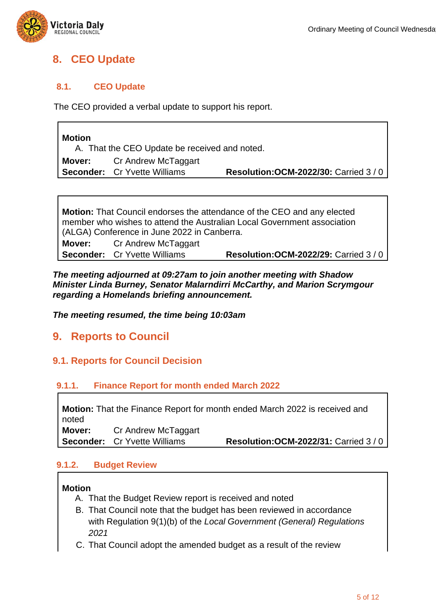

## **8. CEO Update**

## **8.1. CEO Update**

The CEO provided a verbal update to support his report.

| <b>Motion</b><br>A. That the CEO Update be received and noted. |                                     |                                               |
|----------------------------------------------------------------|-------------------------------------|-----------------------------------------------|
|                                                                | <b>Mover:</b> Cr Andrew McTaggart   |                                               |
|                                                                | <b>Seconder:</b> Cr Yvette Williams | <b>Resolution: OCM-2022/30: Carried 3/0  </b> |

**Motion:** That Council endorses the attendance of the CEO and any elected member who wishes to attend the Australian Local Government association (ALGA) Conference in June 2022 in Canberra. **Mover:** Cr Andrew McTaggart **Seconder:** Cr Yvette Williams **Resolution:OCM-2022/29:** Carried 3 / 0

#### *The meeting adjourned at 09:27am to join another meeting with Shadow Minister Linda Burney, Senator Malarndirri McCarthy, and Marion Scrymgour regarding a Homelands briefing announcement.*

*The meeting resumed, the time being 10:03am*

## **9. Reports to Council**

## **9.1. Reports for Council Decision**

## **9.1.1. Finance Report for month ended March 2022**

**Motion:** That the Finance Report for month ended March 2022 is received and noted **Mover:** Cr Andrew McTaggart **Seconder:** Cr Yvette Williams **Resolution:OCM-2022/31:** Carried 3 / 0

## **9.1.2. Budget Review**

## **Motion**

- A. That the Budget Review report is received and noted
- B. That Council note that the budget has been reviewed in accordance with Regulation 9(1)(b) of the *Local Government (General) Regulations 2021*
- C. That Council adopt the amended budget as a result of the review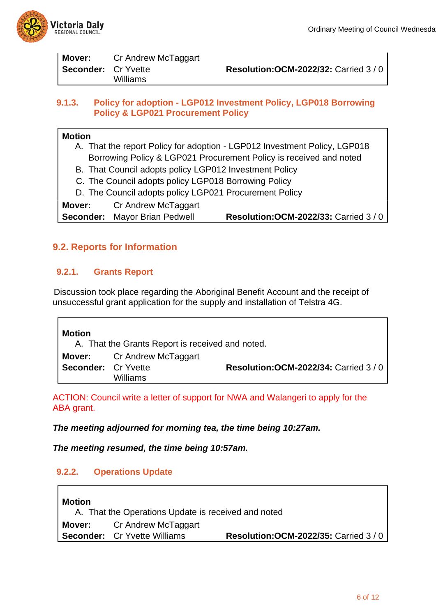

| Mover:                     | Cr Andrew McTaggart |                                             |
|----------------------------|---------------------|---------------------------------------------|
| <b>Seconder:</b> Cr Yvette | Williams            | <b>Resolution: OCM-2022/32: Carried 3/0</b> |
|                            |                     |                                             |

### **9.1.3. Policy for adoption - LGP012 Investment Policy, LGP018 Borrowing Policy & LGP021 Procurement Policy**

## **Motion**

- A. That the report Policy for adoption LGP012 Investment Policy, LGP018 Borrowing Policy & LGP021 Procurement Policy is received and noted
- B. That Council adopts policy LGP012 Investment Policy
- C. The Council adopts policy LGP018 Borrowing Policy
- D. The Council adopts policy LGP021 Procurement Policy

**Mover:** Cr Andrew McTaggart

**Seconder:** Mayor Brian Pedwell **Resolution:OCM-2022/33:** Carried 3 / 0

## **9.2. Reports for Information**

## **9.2.1. Grants Report**

 Discussion took place regarding the Aboriginal Benefit Account and the receipt of unsuccessful grant application for the supply and installation of Telstra 4G.

**Motion** A. That the Grants Report is received and noted. **Mover:** Cr Andrew McTaggart **Seconder:** Cr Yvette Williams **Resolution:OCM-2022/34:** Carried 3 / 0

ACTION: Council write a letter of support for NWA and Walangeri to apply for the ABA grant.

*The meeting adjourned for morning tea, the time being 10:27am.*

*The meeting resumed, the time being 10:57am.*

## **9.2.2. Operations Update**

| <b>Motion</b>                                       |                                     |                                             |
|-----------------------------------------------------|-------------------------------------|---------------------------------------------|
| A. That the Operations Update is received and noted |                                     |                                             |
|                                                     | <b>Mover:</b> Cr Andrew McTaggart   |                                             |
|                                                     | <b>Seconder:</b> Cr Yvette Williams | <b>Resolution: OCM-2022/35: Carried 3/0</b> |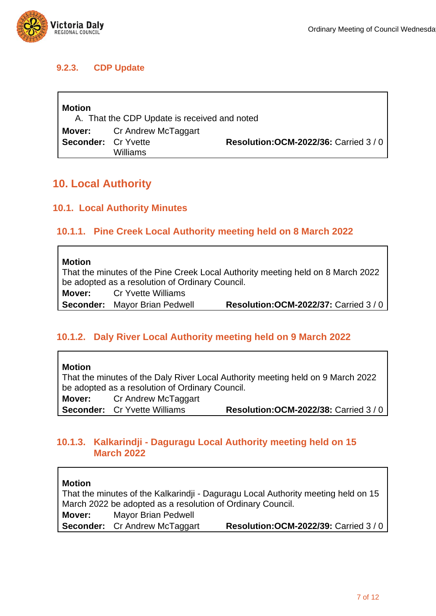

## **9.2.3. CDP Update**

| <b>Motion</b><br>A. That the CDP Update is received and noted |                                   |                                      |
|---------------------------------------------------------------|-----------------------------------|--------------------------------------|
|                                                               | <b>Mover:</b> Cr Andrew McTaggart |                                      |
| <b>Seconder:</b> Cr Yvette                                    | Williams                          | Resolution: OCM-2022/36: Carried 3/0 |

## **10. Local Authority**

## **10.1. Local Authority Minutes**

## **10.1.1. Pine Creek Local Authority meeting held on 8 March 2022**

#### **Motion**

That the minutes of the Pine Creek Local Authority meeting held on 8 March 2022 be adopted as a resolution of Ordinary Council. **Mover:** Cr Yvette Williams

**Seconder:** Mayor Brian Pedwell **Resolution:OCM-2022/37:** Carried 3 / 0

## **10.1.2. Daly River Local Authority meeting held on 9 March 2022**

**Motion**

That the minutes of the Daly River Local Authority meeting held on 9 March 2022 be adopted as a resolution of Ordinary Council.

**Mover:** Cr Andrew McTaggart

**Seconder:** Cr Yvette Williams **Resolution:OCM-2022/38:** Carried 3 / 0

## **10.1.3. Kalkarindji - Daguragu Local Authority meeting held on 15 March 2022**

## **Motion**

That the minutes of the Kalkarindii - Daguragu Local Authority meeting held on 15 March 2022 be adopted as a resolution of Ordinary Council. **Mover:** Mayor Brian Pedwell

**Seconder:** Cr Andrew McTaggart **Resolution:OCM-2022/39:** Carried 3 / 0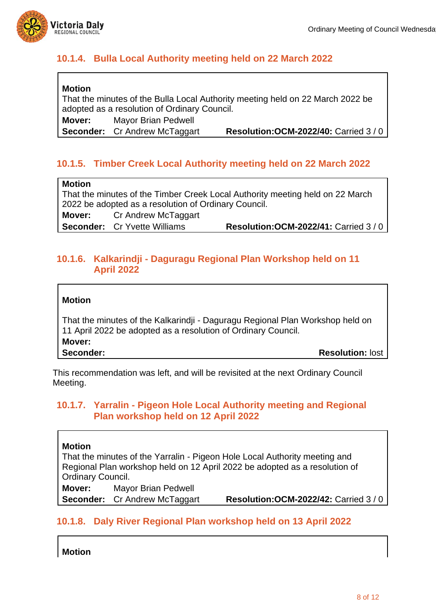

## **10.1.4. Bulla Local Authority meeting held on 22 March 2022**

## **Motion**

That the minutes of the Bulla Local Authority meeting held on 22 March 2022 be adopted as a resolution of Ordinary Council.

**Mover:** Mayor Brian Pedwell

**Seconder:** Cr Andrew McTaggart **Resolution:OCM-2022/40:** Carried 3 / 0

## **10.1.5. Timber Creek Local Authority meeting held on 22 March 2022**

#### **Motion**

That the minutes of the Timber Creek Local Authority meeting held on 22 March 2022 be adopted as a resolution of Ordinary Council. **Mover:** Cr Andrew McTaggart

**Seconder:** Cr Yvette Williams **Resolution:OCM-2022/41:** Carried 3 / 0

## **10.1.6. Kalkarindji - Daguragu Regional Plan Workshop held on 11 April 2022**

## **Motion**

That the minutes of the Kalkarindji - Daguragu Regional Plan Workshop held on 11 April 2022 be adopted as a resolution of Ordinary Council. **Mover: Seconder: Resolution:** lost

This recommendation was left, and will be revisited at the next Ordinary Council Meeting.

## **10.1.7. Yarralin - Pigeon Hole Local Authority meeting and Regional Plan workshop held on 12 April 2022**

#### **Motion**

That the minutes of the Yarralin - Pigeon Hole Local Authority meeting and Regional Plan workshop held on 12 April 2022 be adopted as a resolution of Ordinary Council.

**Mover:** Mayor Brian Pedwell

**Seconder:** Cr Andrew McTaggart **Resolution:OCM-2022/42:** Carried 3 / 0

## **10.1.8. Daly River Regional Plan workshop held on 13 April 2022**

**Motion**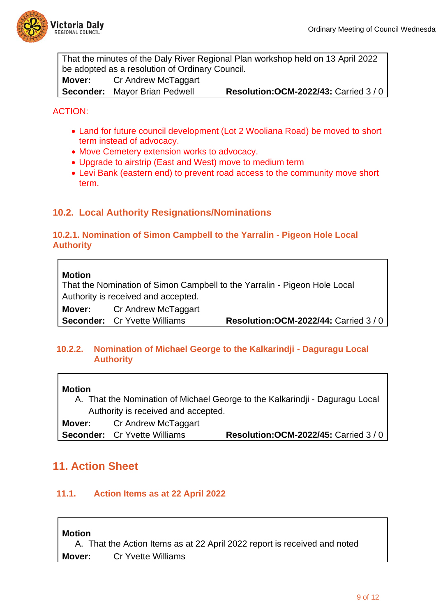

That the minutes of the Daly River Regional Plan workshop held on 13 April 2022 be adopted as a resolution of Ordinary Council. **Mover:** Cr Andrew McTaggart **Seconder:** Mayor Brian Pedwell **Resolution:OCM-2022/43:** Carried 3 / 0

### ACTION:

- Land for future council development (Lot 2 Wooliana Road) be moved to short term instead of advocacy.
- Move Cemetery extension works to advocacy.
- Upgrade to airstrip (East and West) move to medium term
- Levi Bank (eastern end) to prevent road access to the community move short term.

## **10.2. Local Authority Resignations/Nominations**

#### **10.2.1. Nomination of Simon Campbell to the Yarralin - Pigeon Hole Local Authority**

#### **Motion**

That the Nomination of Simon Campbell to the Yarralin - Pigeon Hole Local Authority is received and accepted.

**Mover:** Cr Andrew McTaggart

**Seconder:** Cr Yvette Williams **Resolution:OCM-2022/44:** Carried 3 / 0

### **10.2.2. Nomination of Michael George to the Kalkarindji - Daguragu Local Authority**

#### **Motion**

A. That the Nomination of Michael George to the Kalkarindji - Daguragu Local Authority is received and accepted.

**Mover:** Cr Andrew McTaggart **Seconder:** Cr Yvette Williams **Resolution:OCM-2022/45:** Carried 3 / 0

## **11. Action Sheet**

#### **11.1. Action Items as at 22 April 2022**

#### **Motion**

A. That the Action Items as at 22 April 2022 report is received and noted **Mover:** Cr Yvette Williams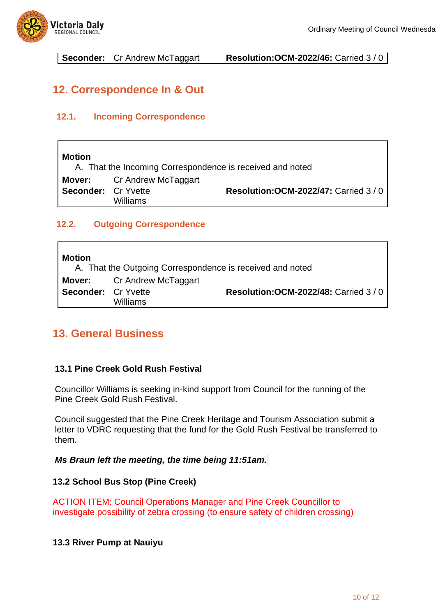

**Seconder:** Cr Andrew McTaggart **Resolution:OCM-2022/46:** Carried 3 / 0

## **12. Correspondence In & Out**

## **12.1. Incoming Correspondence**

## **Motion**

A. That the Incoming Correspondence is received and noted **Mover:** Cr Andrew McTaggart **Seconder:** Cr Yvette Williams **Resolution:OCM-2022/47:** Carried 3 / 0

## **12.2. Outgoing Correspondence**

## **Motion** A. That the Outgoing Correspondence is received and noted **Mover:** Cr Andrew McTaggart **Seconder:** Cr Yvette Williams **Resolution:OCM-2022/48:** Carried 3 / 0

## **13. General Business**

## **13.1 Pine Creek Gold Rush Festival**

Councillor Williams is seeking in-kind support from Council for the running of the Pine Creek Gold Rush Festival.

Council suggested that the Pine Creek Heritage and Tourism Association submit a letter to VDRC requesting that the fund for the Gold Rush Festival be transferred to them.

*Ms Braun left the meeting, the time being 11:51am.*

## **13.2 School Bus Stop (Pine Creek)**

ACTION ITEM: Council Operations Manager and Pine Creek Councillor to investigate possibility of zebra crossing (to ensure safety of children crossing)

## **13.3 River Pump at Nauiyu**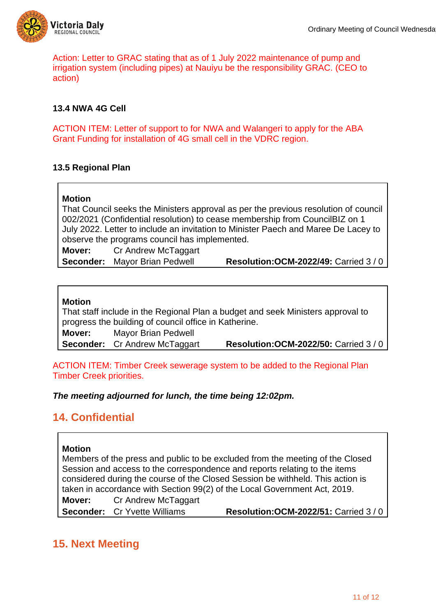

Action: Letter to GRAC stating that as of 1 July 2022 maintenance of pump and irrigation system (including pipes) at Nauiyu be the responsibility GRAC. (CEO to action)

## **13.4 NWA 4G Cell**

ACTION ITEM: Letter of support to for NWA and Walangeri to apply for the ABA Grant Funding for installation of 4G small cell in the VDRC region.

### **13.5 Regional Plan**

### **Motion**

That Council seeks the Ministers approval as per the previous resolution of council 002/2021 (Confidential resolution) to cease membership from CouncilBIZ on 1 July 2022. Letter to include an invitation to Minister Paech and Maree De Lacey to observe the programs council has implemented.

**Mover:** Cr Andrew McTaggart

**Seconder:** Mayor Brian Pedwell **Resolution:OCM-2022/49:** Carried 3 / 0

#### **Motion**

That staff include in the Regional Plan a budget and seek Ministers approval to progress the building of council office in Katherine.

**Mover:** Mayor Brian Pedwell

**Seconder:** Cr Andrew McTaggart **Resolution:OCM-2022/50:** Carried 3 / 0

ACTION ITEM: Timber Creek sewerage system to be added to the Regional Plan Timber Creek priorities.

#### *The meeting adjourned for lunch, the time being 12:02pm.*

## **14. Confidential**

#### **Motion**

Members of the press and public to be excluded from the meeting of the Closed Session and access to the correspondence and reports relating to the items considered during the course of the Closed Session be withheld. This action is taken in accordance with Section 99(2) of the Local Government Act, 2019.

**Mover:** Cr Andrew McTaggart

**Seconder:** Cr Yvette Williams **Resolution:OCM-2022/51:** Carried 3 / 0

## **15. Next Meeting**